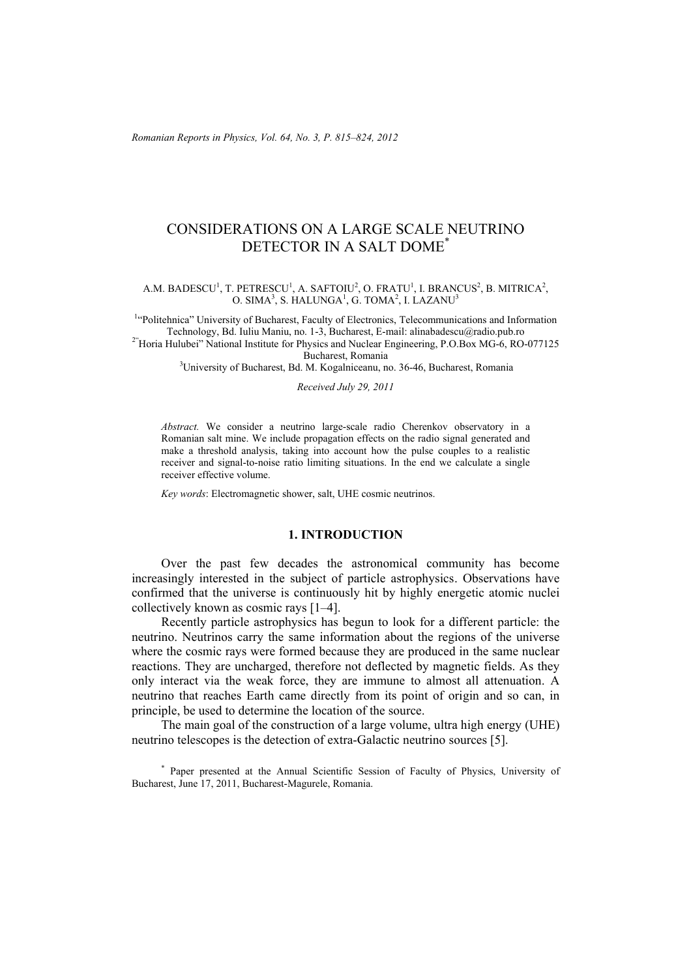# CONSIDERATIONS ON A LARGE SCALE NEUTRINO DETECTOR IN A SALT DOME\*

### A.M. BADESCU<sup>1</sup>, T. PETRESCU<sup>1</sup>, A. SAFTOIU<sup>2</sup>, O. FRATU<sup>1</sup>, I. BRANCUS<sup>2</sup>, B. MITRICA<sup>2</sup>, O. SIMA<sup>3</sup>, S. HALUNGA<sup>1</sup>, G. TOMA<sup>2</sup>, I. LAZANU<sup>3</sup>

<sup>1</sup>"Politehnica" University of Bucharest, Faculty of Electronics, Telecommunications and Information Technology, Bd. Iuliu Maniu, no. 1-3, Bucharest, E-mail: alinabadescu@radio.pub.ro 2"Horia Hulubei" National Institute for Physics and Nuclear Engineering, P.O.Box MG-6, RO-077125

Bucharest, Romania 3University of Bucharest, Bd. M. Kogalniceanu, no. 36-46, Bucharest, Romania

*Received July 29, 2011* 

*Abstract.* We consider a neutrino large-scale radio Cherenkov observatory in a Romanian salt mine. We include propagation effects on the radio signal generated and make a threshold analysis, taking into account how the pulse couples to a realistic receiver and signal-to-noise ratio limiting situations. In the end we calculate a single receiver effective volume.

*Key words*: Electromagnetic shower, salt, UHE cosmic neutrinos.

## **1. INTRODUCTION**

Over the past few decades the astronomical community has become increasingly interested in the subject of particle astrophysics. Observations have confirmed that the universe is continuously hit by highly energetic atomic nuclei collectively known as cosmic rays [1–4].

Recently particle astrophysics has begun to look for a different particle: the neutrino. Neutrinos carry the same information about the regions of the universe where the cosmic rays were formed because they are produced in the same nuclear reactions. They are uncharged, therefore not deflected by magnetic fields. As they only interact via the weak force, they are immune to almost all attenuation. A neutrino that reaches Earth came directly from its point of origin and so can, in principle, be used to determine the location of the source.

The main goal of the construction of a large volume, ultra high energy (UHE) neutrino telescopes is the detection of extra-Galactic neutrino sources [5].

\* Paper presented at the Annual Scientific Session of Faculty of Physics, University of Bucharest, June 17, 2011, Bucharest-Magurele, Romania.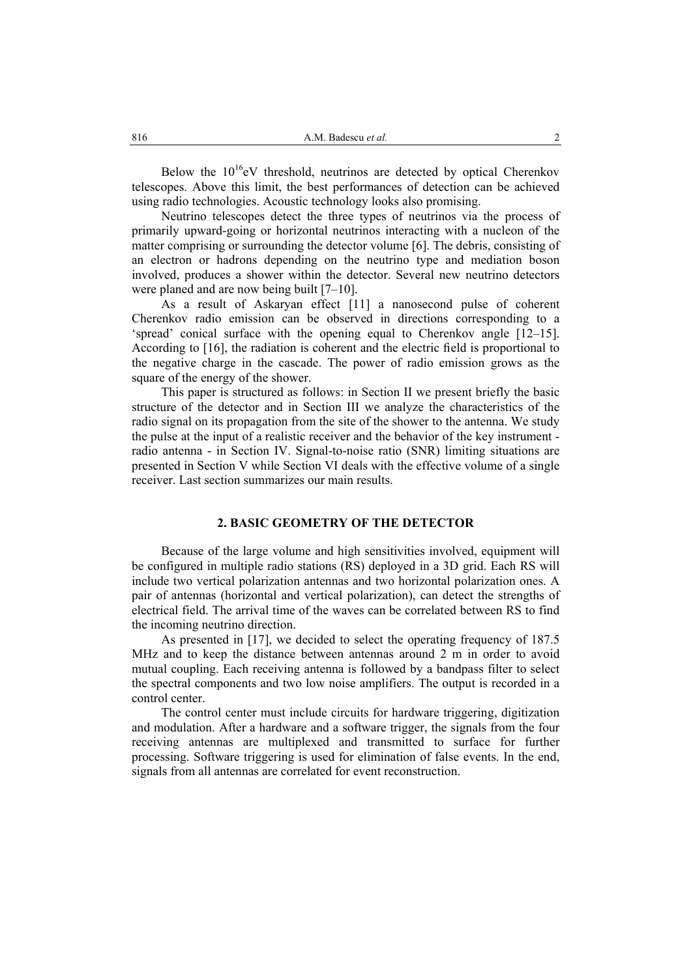Below the  $10^{16}$ eV threshold, neutrinos are detected by optical Cherenkov telescopes. Above this limit, the best performances of detection can be achieved using radio technologies. Acoustic technology looks also promising.

Neutrino telescopes detect the three types of neutrinos via the process of primarily upward-going or horizontal neutrinos interacting with a nucleon of the matter comprising or surrounding the detector volume [6]. The debris, consisting of an electron or hadrons depending on the neutrino type and mediation boson involved, produces a shower within the detector. Several new neutrino detectors were planed and are now being built [7–10].

As a result of Askaryan effect [11] a nanosecond pulse of coherent Cherenkov radio emission can be observed in directions corresponding to a 'spread' conical surface with the opening equal to Cherenkov angle [12–15]. According to [16], the radiation is coherent and the electric field is proportional to the negative charge in the cascade. The power of radio emission grows as the square of the energy of the shower.

This paper is structured as follows: in Section II we present briefly the basic structure of the detector and in Section III we analyze the characteristics of the radio signal on its propagation from the site of the shower to the antenna. We study the pulse at the input of a realistic receiver and the behavior of the key instrument radio antenna - in Section IV. Signal-to-noise ratio (SNR) limiting situations are presented in Section V while Section VI deals with the effective volume of a single receiver. Last section summarizes our main results.

# **2. BASIC GEOMETRY OF THE DETECTOR**

Because of the large volume and high sensitivities involved, equipment will be configured in multiple radio stations (RS) deployed in a 3D grid. Each RS will include two vertical polarization antennas and two horizontal polarization ones. A pair of antennas (horizontal and vertical polarization), can detect the strengths of electrical field. The arrival time of the waves can be correlated between RS to find the incoming neutrino direction.

As presented in [17], we decided to select the operating frequency of 187.5 MHz and to keep the distance between antennas around 2 m in order to avoid mutual coupling. Each receiving antenna is followed by a bandpass filter to select the spectral components and two low noise amplifiers. The output is recorded in a control center.

The control center must include circuits for hardware triggering, digitization and modulation. After a hardware and a software trigger, the signals from the four receiving antennas are multiplexed and transmitted to surface for further processing. Software triggering is used for elimination of false events. In the end, signals from all antennas are correlated for event reconstruction.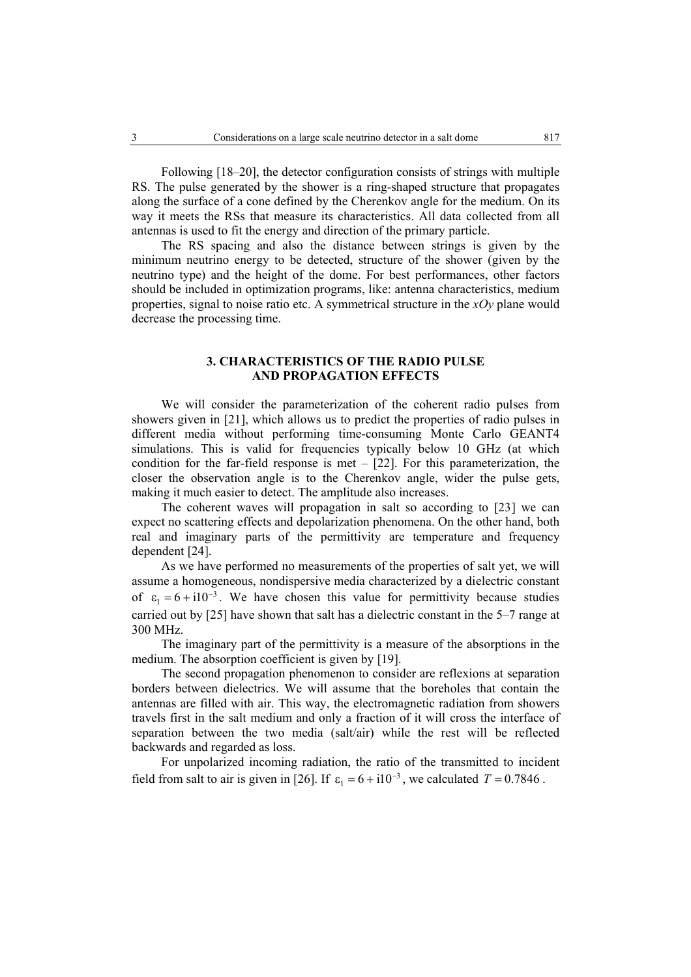Following [18–20], the detector configuration consists of strings with multiple RS. The pulse generated by the shower is a ring-shaped structure that propagates along the surface of a cone defined by the Cherenkov angle for the medium. On its way it meets the RSs that measure its characteristics. All data collected from all antennas is used to fit the energy and direction of the primary particle.

The RS spacing and also the distance between strings is given by the minimum neutrino energy to be detected, structure of the shower (given by the neutrino type) and the height of the dome. For best performances, other factors should be included in optimization programs, like: antenna characteristics, medium properties, signal to noise ratio etc. A symmetrical structure in the *xOy* plane would decrease the processing time.

# **3. CHARACTERISTICS OF THE RADIO PULSE AND PROPAGATION EFFECTS**

We will consider the parameterization of the coherent radio pulses from showers given in [21], which allows us to predict the properties of radio pulses in different media without performing time-consuming Monte Carlo GEANT4 simulations. This is valid for frequencies typically below 10 GHz (at which condition for the far-field response is met  $-$  [22]. For this parameterization, the closer the observation angle is to the Cherenkov angle, wider the pulse gets, making it much easier to detect. The amplitude also increases.

The coherent waves will propagation in salt so according to [23] we can expect no scattering effects and depolarization phenomena. On the other hand, both real and imaginary parts of the permittivity are temperature and frequency dependent [24].

As we have performed no measurements of the properties of salt yet, we will assume a homogeneous, nondispersive media characterized by a dielectric constant of  $\varepsilon_1 = 6 + i10^{-3}$ . We have chosen this value for permittivity because studies carried out by [25] have shown that salt has a dielectric constant in the 5–7 range at 300 MHz.

The imaginary part of the permittivity is a measure of the absorptions in the medium. The absorption coefficient is given by [19].

The second propagation phenomenon to consider are reflexions at separation borders between dielectrics. We will assume that the boreholes that contain the antennas are filled with air. This way, the electromagnetic radiation from showers travels first in the salt medium and only a fraction of it will cross the interface of separation between the two media (salt/air) while the rest will be reflected backwards and regarded as loss.

For unpolarized incoming radiation, the ratio of the transmitted to incident field from salt to air is given in [26]. If  $\varepsilon_1 = 6 + i10^{-3}$ , we calculated *T* = 0.7846.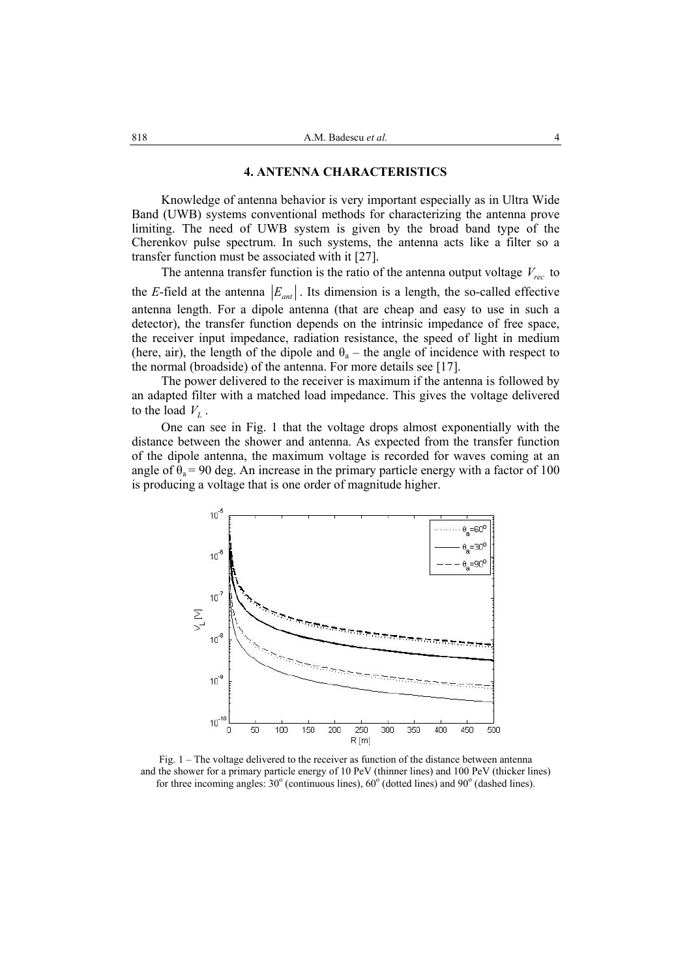#### **4. ANTENNA CHARACTERISTICS**

Knowledge of antenna behavior is very important especially as in Ultra Wide Band (UWB) systems conventional methods for characterizing the antenna prove limiting. The need of UWB system is given by the broad band type of the Cherenkov pulse spectrum. In such systems, the antenna acts like a filter so a transfer function must be associated with it [27].

The antenna transfer function is the ratio of the antenna output voltage  $V_{rec}$  to the *E*-field at the antenna  $|E_{ant}|$ . Its dimension is a length, the so-called effective antenna length. For a dipole antenna (that are cheap and easy to use in such a detector), the transfer function depends on the intrinsic impedance of free space, the receiver input impedance, radiation resistance, the speed of light in medium (here, air), the length of the dipole and  $\theta_a$  – the angle of incidence with respect to the normal (broadside) of the antenna. For more details see [17].

The power delivered to the receiver is maximum if the antenna is followed by an adapted filter with a matched load impedance. This gives the voltage delivered to the load  $V_L$ .

One can see in Fig. 1 that the voltage drops almost exponentially with the distance between the shower and antenna. As expected from the transfer function of the dipole antenna, the maximum voltage is recorded for waves coming at an angle of  $\theta_a = 90$  deg. An increase in the primary particle energy with a factor of 100 is producing a voltage that is one order of magnitude higher.



Fig. 1 – The voltage delivered to the receiver as function of the distance between antenna and the shower for a primary particle energy of 10 PeV (thinner lines) and 100 PeV (thicker lines) for three incoming angles:  $30^{\circ}$  (continuous lines),  $60^{\circ}$  (dotted lines) and  $90^{\circ}$  (dashed lines).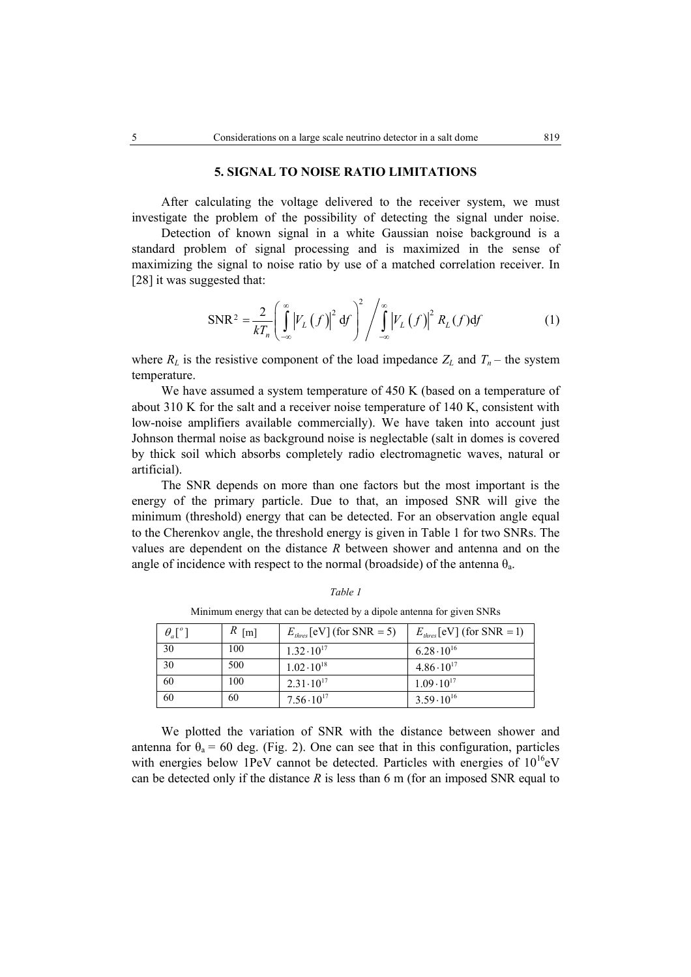## **5. SIGNAL TO NOISE RATIO LIMITATIONS**

After calculating the voltage delivered to the receiver system, we must investigate the problem of the possibility of detecting the signal under noise.

 Detection of known signal in a white Gaussian noise background is a standard problem of signal processing and is maximized in the sense of maximizing the signal to noise ratio by use of a matched correlation receiver. In [28] it was suggested that:

$$
SNR^{2} = \frac{2}{kT_{n}} \left( \int_{-\infty}^{\infty} \left| V_{L}(f) \right|^{2} df \right)^{2} / \int_{-\infty}^{\infty} \left| V_{L}(f) \right|^{2} R_{L}(f) df \qquad (1)
$$

where  $R_L$  is the resistive component of the load impedance  $Z_L$  and  $T_n$  – the system temperature.

We have assumed a system temperature of 450 K (based on a temperature of about 310 K for the salt and a receiver noise temperature of 140 K, consistent with low-noise amplifiers available commercially). We have taken into account just Johnson thermal noise as background noise is neglectable (salt in domes is covered by thick soil which absorbs completely radio electromagnetic waves, natural or artificial).

The SNR depends on more than one factors but the most important is the energy of the primary particle. Due to that, an imposed SNR will give the minimum (threshold) energy that can be detected. For an observation angle equal to the Cherenkov angle, the threshold energy is given in Table 1 for two SNRs. The values are dependent on the distance *R* between shower and antenna and on the angle of incidence with respect to the normal (broadside) of the antenna  $\theta_a$ .

| $\theta_a[^{\circ}]$ | $R$ [m] | $E_{thres}$ [eV] (for SNR = 5) | $E_{thres}$ [eV] (for SNR = 1) |
|----------------------|---------|--------------------------------|--------------------------------|
| 30                   | 100     | $1.32 \cdot 10^{17}$           | $6.28 \cdot 10^{16}$           |
| 30                   | 500     | $1.02 \cdot 10^{18}$           | $4.86 \cdot 10^{17}$           |
| 60                   | 100     | $2.31 \cdot 10^{17}$           | $1.09 \cdot 10^{17}$           |
| 60                   | 60      | $7.56 \cdot 10^{17}$           | $3.59 \cdot 10^{16}$           |

*Table 1*  Minimum energy that can be detected by a dipole antenna for given SNRs

We plotted the variation of SNR with the distance between shower and antenna for  $\theta_a = 60$  deg. (Fig. 2). One can see that in this configuration, particles with energies below 1PeV cannot be detected. Particles with energies of  $10^{16}$ eV can be detected only if the distance  $R$  is less than 6 m (for an imposed SNR equal to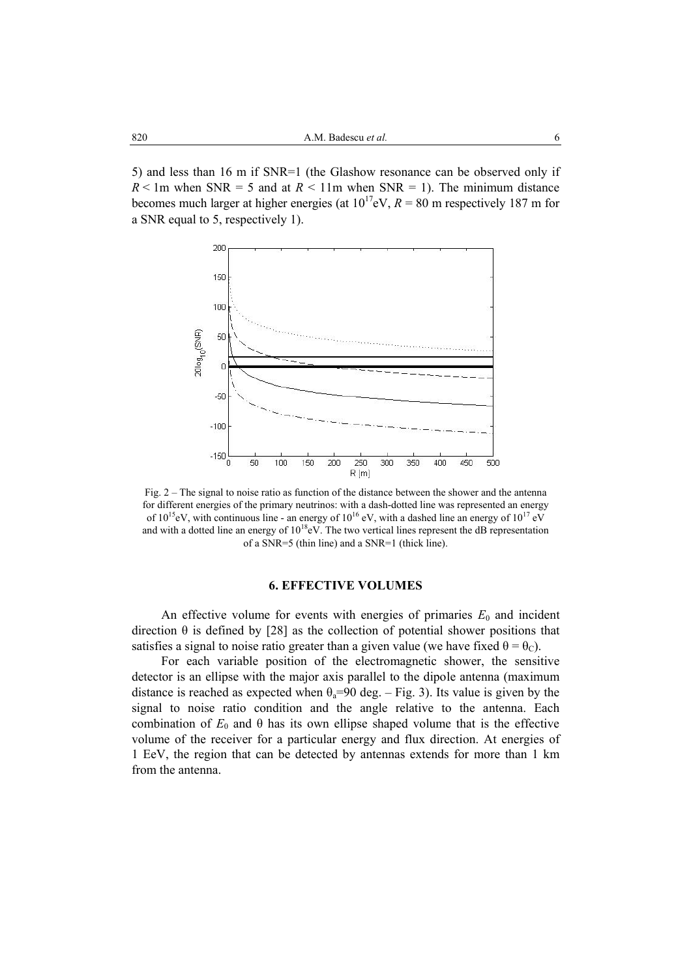5) and less than 16 m if SNR=1 (the Glashow resonance can be observed only if  $R < 1$ m when SNR = 5 and at  $R < 11$ m when SNR = 1). The minimum distance becomes much larger at higher energies (at  $10^{17}$ eV,  $R = 80$  m respectively 187 m for a SNR equal to 5, respectively 1).



Fig. 2 – The signal to noise ratio as function of the distance between the shower and the antenna for different energies of the primary neutrinos: with a dash-dotted line was represented an energy of  $10^{15}$ eV, with continuous line - an energy of  $10^{16}$  eV, with a dashed line an energy of  $10^{17}$  eV and with a dotted line an energy of  $10^{18}$ eV. The two vertical lines represent the dB representation of a SNR=5 (thin line) and a SNR=1 (thick line).

### **6. EFFECTIVE VOLUMES**

An effective volume for events with energies of primaries  $E_0$  and incident direction  $\theta$  is defined by [28] as the collection of potential shower positions that satisfies a signal to noise ratio greater than a given value (we have fixed  $\theta = \theta_c$ ).

For each variable position of the electromagnetic shower, the sensitive detector is an ellipse with the major axis parallel to the dipole antenna (maximum distance is reached as expected when  $\theta_a=90$  deg. – Fig. 3). Its value is given by the signal to noise ratio condition and the angle relative to the antenna. Each combination of  $E_0$  and  $\theta$  has its own ellipse shaped volume that is the effective volume of the receiver for a particular energy and flux direction. At energies of 1 EeV, the region that can be detected by antennas extends for more than 1 km from the antenna.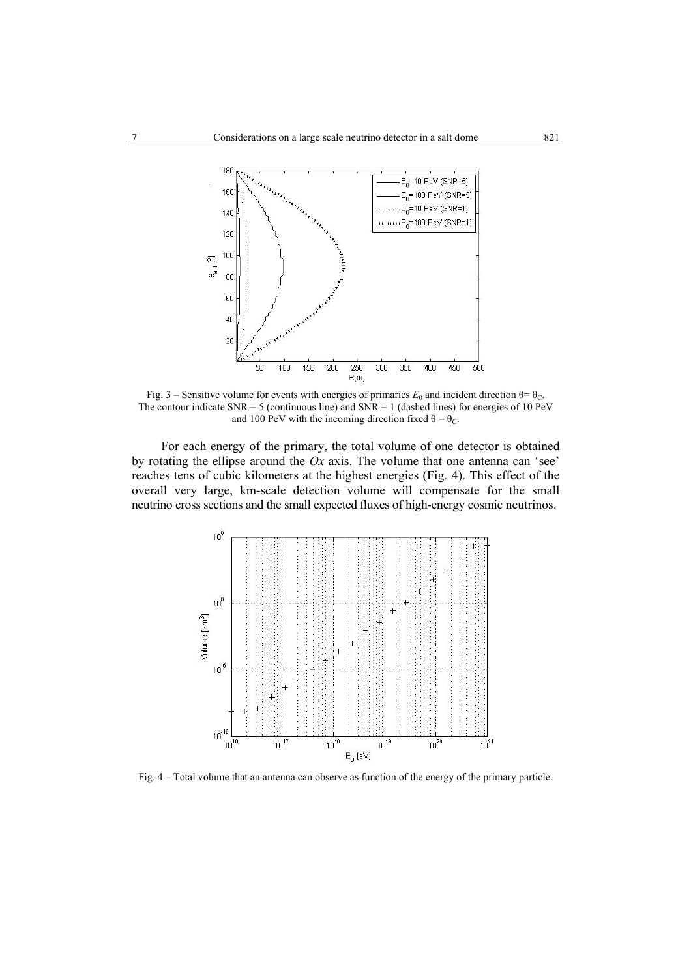

Fig. 3 – Sensitive volume for events with energies of primaries  $E_0$  and incident direction  $\theta = \theta_C$ . The contour indicate  $SNR = 5$  (continuous line) and  $SNR = 1$  (dashed lines) for energies of 10 PeV and 100 PeV with the incoming direction fixed  $\theta = \theta_C$ .

For each energy of the primary, the total volume of one detector is obtained by rotating the ellipse around the *Ox* axis. The volume that one antenna can 'see' reaches tens of cubic kilometers at the highest energies (Fig. 4). This effect of the overall very large, km-scale detection volume will compensate for the small neutrino cross sections and the small expected fluxes of high-energy cosmic neutrinos.



Fig. 4 – Total volume that an antenna can observe as function of the energy of the primary particle.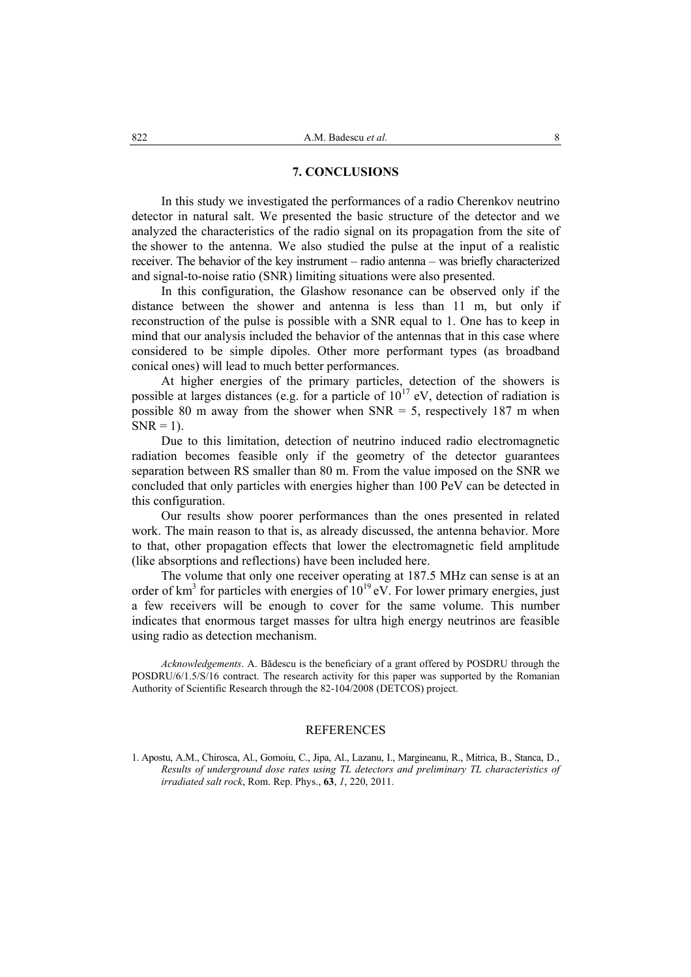## **7. CONCLUSIONS**

In this study we investigated the performances of a radio Cherenkov neutrino detector in natural salt. We presented the basic structure of the detector and we analyzed the characteristics of the radio signal on its propagation from the site of the shower to the antenna. We also studied the pulse at the input of a realistic receiver. The behavior of the key instrument – radio antenna – was briefly characterized and signal-to-noise ratio (SNR) limiting situations were also presented.

In this configuration, the Glashow resonance can be observed only if the distance between the shower and antenna is less than 11 m, but only if reconstruction of the pulse is possible with a SNR equal to 1. One has to keep in mind that our analysis included the behavior of the antennas that in this case where considered to be simple dipoles. Other more performant types (as broadband conical ones) will lead to much better performances.

At higher energies of the primary particles, detection of the showers is possible at larges distances (e.g. for a particle of  $10^{17}$  eV, detection of radiation is possible 80 m away from the shower when  $SNR = 5$ , respectively 187 m when  $SNR = 1$ ).

Due to this limitation, detection of neutrino induced radio electromagnetic radiation becomes feasible only if the geometry of the detector guarantees separation between RS smaller than 80 m. From the value imposed on the SNR we concluded that only particles with energies higher than 100 PeV can be detected in this configuration.

Our results show poorer performances than the ones presented in related work. The main reason to that is, as already discussed, the antenna behavior. More to that, other propagation effects that lower the electromagnetic field amplitude (like absorptions and reflections) have been included here.

The volume that only one receiver operating at 187.5 MHz can sense is at an order of  $km^3$  for particles with energies of  $10^{19}$  eV. For lower primary energies, just a few receivers will be enough to cover for the same volume. This number indicates that enormous target masses for ultra high energy neutrinos are feasible using radio as detection mechanism.

*Acknowledgements*. A. Bădescu is the beneficiary of a grant offered by POSDRU through the POSDRU/6/1.5/S/16 contract. The research activity for this paper was supported by the Romanian Authority of Scientific Research through the 82-104/2008 (DETCOS) project.

#### REFERENCES

1. Apostu, A.M., Chirosca, Al., Gomoiu, C., Jipa, Al., Lazanu, I., Margineanu, R., Mitrica, B., Stanca, D., *Results of underground dose rates using TL detectors and preliminary TL characteristics of irradiated salt rock*, Rom. Rep. Phys., **63**, *1*, 220, 2011.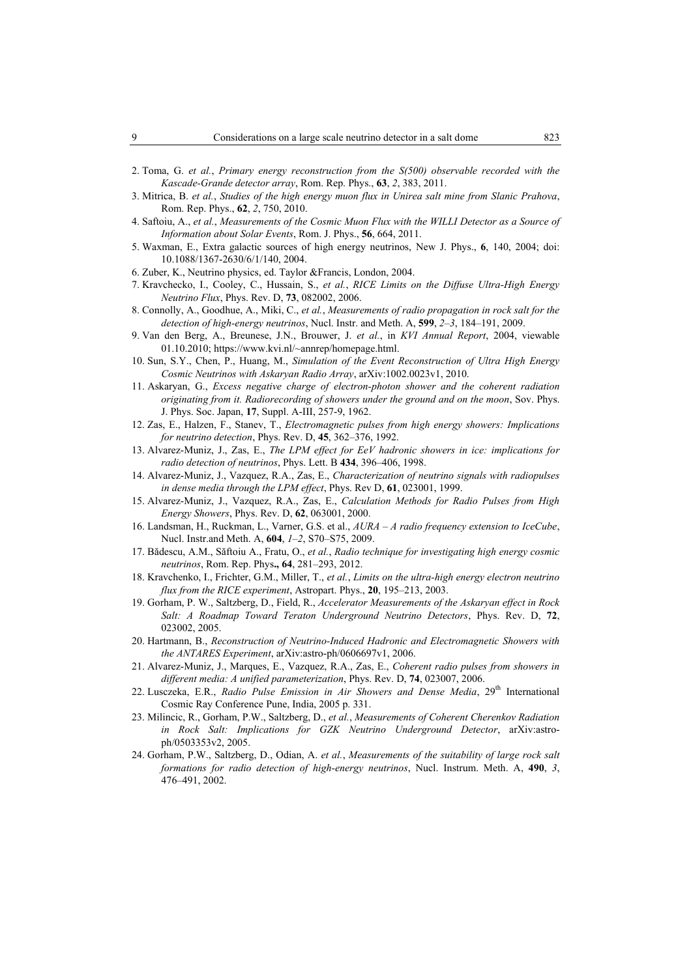- 2. Toma, G. *et al.*, *Primary energy reconstruction from the S(500) observable recorded with the Kascade-Grande detector array*, Rom. Rep. Phys., **63**, *2*, 383, 2011.
- 3. Mitrica, B. *et al.*, *Studies of the high energy muon flux in Unirea salt mine from Slanic Prahova*, Rom. Rep. Phys., **62**, *2*, 750, 2010.
- 4. Saftoiu, A., *et al.*, *Measurements of the Cosmic Muon Flux with the WILLI Detector as a Source of Information about Solar Events*, Rom. J. Phys., **56**, 664, 2011.
- 5. Waxman, E., Extra galactic sources of high energy neutrinos, New J. Phys., **6**, 140, 2004; doi: 10.1088/1367-2630/6/1/140, 2004.
- 6. Zuber, K., Neutrino physics, ed. Taylor &Francis, London, 2004.
- 7. Kravchecko, I., Cooley, C., Hussain, S., *et al.*, *RICE Limits on the Diffuse Ultra-High Energy Neutrino Flux*, Phys. Rev. D, **73**, 082002, 2006.
- 8. Connolly, A., Goodhue, A., Miki, C., *et al.*, *Measurements of radio propagation in rock salt for the detection of high-energy neutrinos*, Nucl. Instr. and Meth. A, **599**, *2–3*, 184–191, 2009.
- 9. Van den Berg, A., Breunese, J.N., Brouwer, J. *et al.*, in *KVI Annual Report*, 2004, viewable 01.10.2010; https://www.kvi.nl/~annrep/homepage.html.
- 10. Sun, S.Y., Chen, P., Huang, M., *Simulation of the Event Reconstruction of Ultra High Energy Cosmic Neutrinos with Askaryan Radio Array*, arXiv:1002.0023v1, 2010.
- 11. Askaryan, G., *Excess negative charge of electron-photon shower and the coherent radiation originating from it. Radiorecording of showers under the ground and on the moon*, Sov. Phys. J. Phys. Soc. Japan, **17**, Suppl. A-III, 257-9, 1962.
- 12. Zas, E., Halzen, F., Stanev, T., *Electromagnetic pulses from high energy showers: Implications for neutrino detection*, Phys. Rev. D, **45**, 362–376, 1992.
- 13. Alvarez-Muniz, J., Zas, E., *The LPM effect for EeV hadronic showers in ice: implications for radio detection of neutrinos*, Phys. Lett. B **434**, 396–406, 1998.
- 14. Alvarez-Muniz, J., Vazquez, R.A., Zas, E., *Characterization of neutrino signals with radiopulses in dense media through the LPM effect*, Phys. Rev D, **61**, 023001, 1999.
- 15. Alvarez-Muniz, J., Vazquez, R.A., Zas, E., *Calculation Methods for Radio Pulses from High Energy Showers*, Phys. Rev. D, **62**, 063001, 2000.
- 16. Landsman, H., Ruckman, L., Varner, G.S. et al., *AURA A radio frequency extension to IceCube*, Nucl. Instr.and Meth. A, **604**, *1–2*, S70–S75, 2009.
- 17. Bădescu, A.M., Săftoiu A., Fratu, O., *et al.*, *Radio technique for investigating high energy cosmic neutrinos*, Rom. Rep. Phys**., 64**, 281–293, 2012.
- 18. Kravchenko, I., Frichter, G.M., Miller, T., *et al.*, *Limits on the ultra-high energy electron neutrino flux from the RICE experiment*, Astropart. Phys., **20**, 195–213, 2003.
- 19. Gorham, P. W., Saltzberg, D., Field, R., *Accelerator Measurements of the Askaryan effect in Rock Salt: A Roadmap Toward Teraton Underground Neutrino Detectors*, Phys. Rev. D, **72**, 023002, 2005.
- 20. Hartmann, B., *Reconstruction of Neutrino-Induced Hadronic and Electromagnetic Showers with the ANTARES Experiment*, arXiv:astro-ph/0606697v1, 2006.
- 21. Alvarez-Muniz, J., Marques, E., Vazquez, R.A., Zas, E., *Coherent radio pulses from showers in different media: A unified parameterization*, Phys. Rev. D, **74**, 023007, 2006.
- 22. Lusczeka, E.R., *Radio Pulse Emission in Air Showers and Dense Media*, 29<sup>th</sup> International Cosmic Ray Conference Pune, India, 2005 p. 331.
- 23. Milincic, R., Gorham, P.W., Saltzberg, D., *et al.*, *Measurements of Coherent Cherenkov Radiation in Rock Salt: Implications for GZK Neutrino Underground Detector*, arXiv:astroph/0503353v2, 2005.
- 24. Gorham, P.W., Saltzberg, D., Odian, A. *et al.*, *Measurements of the suitability of large rock salt formations for radio detection of high-energy neutrinos*, Nucl. Instrum. Meth. A, **490**, *3*, 476–491, 2002.